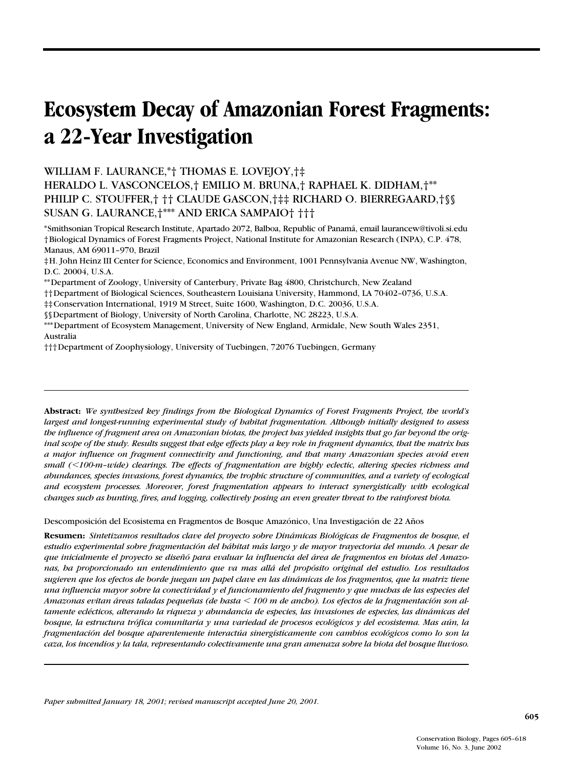# **Ecosystem Decay of Amazonian Forest Fragments: a 22-Year Investigation**

WILLIAM F. LAURANCE,\*† THOMAS E. LOVEJOY,†‡

HERALDO L. VASCONCELOS,† EMILIO M. BRUNA,† RAPHAEL K. DIDHAM,†\*\* PHILIP C. STOUFFER,† †† CLAUDE GASCON,†‡‡ RICHARD O. BIERREGAARD,†§§ SUSAN G. LAURANCE,†\*\*\* AND ERICA SAMPAIO† †††

\*Smithsonian Tropical Research Institute, Apartado 2072, Balboa, Republic of Panamá, email laurancew@tivoli.si.edu †Biological Dynamics of Forest Fragments Project, National Institute for Amazonian Research (INPA), C.P. 478, Manaus, AM 69011–970, Brazil

‡H. John Heinz III Center for Science, Economics and Environment, 1001 Pennsylvania Avenue NW, Washington, D.C. 20004, U.S.A.

\*\*Department of Zoology, University of Canterbury, Private Bag 4800, Christchurch, New Zealand

††Department of Biological Sciences, Southeastern Louisiana University, Hammond, LA 70402–0736, U.S.A.

‡‡Conservation International, 1919 M Street, Suite 1600, Washington, D.C. 20036, U.S.A.

§§Department of Biology, University of North Carolina, Charlotte, NC 28223, U.S.A.

\*\*\*Department of Ecosystem Management, University of New England, Armidale, New South Wales 2351, Australia

†††Department of Zoophysiology, University of Tuebingen, 72076 Tuebingen, Germany

**Abstract:** *We synthesized key findings from the Biological Dynamics of Forest Fragments Project, the world's largest and longest-running experimental study of habitat fragmentation. Although initially designed to assess the influence of fragment area on Amazonian biotas, the project has yielded insights that go far beyond the original scope of the study. Results suggest that edge effects play a key role in fragment dynamics, that the matrix has a major influence on fragment connectivity and functioning, and that many Amazonian species avoid even small (*-*100-m–wide) clearings. The effects of fragmentation are highly eclectic, altering species richness and abundances, species invasions, forest dynamics, the trophic structure of communities, and a variety of ecological and ecosystem processes. Moreover, forest fragmentation appears to interact synergistically with ecological changes such as hunting, fires, and logging, collectively posing an even greater threat to the rainforest biota.*

Descomposición del Ecosistema en Fragmentos de Bosque Amazónico, Una Investigación de 22 Años

**Resumen:** *Sintetizamos resultados clave del proyecto sobre Dinámicas Biológicas de Fragmentos de bosque, el estudio experimental sobre fragmentación del hábitat más largo y de mayor trayectoria del mundo. A pesar de que inicialmente el proyecto se diseñó para evaluar la influencia del área de fragmentos en biotas del Amazonas, ha proporcionado un entendimiento que va mas allá del propósito original del estudio. Los resultados sugieren que los efectos de borde juegan un papel clave en las dinámicas de los fragmentos, que la matriz tiene una influencia mayor sobre la conectividad y el funcionamiento del fragmento y que muchas de las especies del Amazonas evitan áreas taladas pequeñas (de hasta* - *100 m de ancho). Los efectos de la fragmentación son altamente eclécticos, alterando la riqueza y abundancia de especies, las invasiones de especies, las dinámicas del bosque, la estructura trófica comunitaria y una variedad de procesos ecológicos y del ecosistema. Mas aún, la fragmentación del bosque aparentemente interactúa sinergísticamente con cambios ecológicos como lo son la caza, los incendios y la tala, representando colectivamente una gran amenaza sobre la biota del bosque lluvioso.*

*Paper submitted January 18, 2001; revised manuscript accepted June 20, 2001.*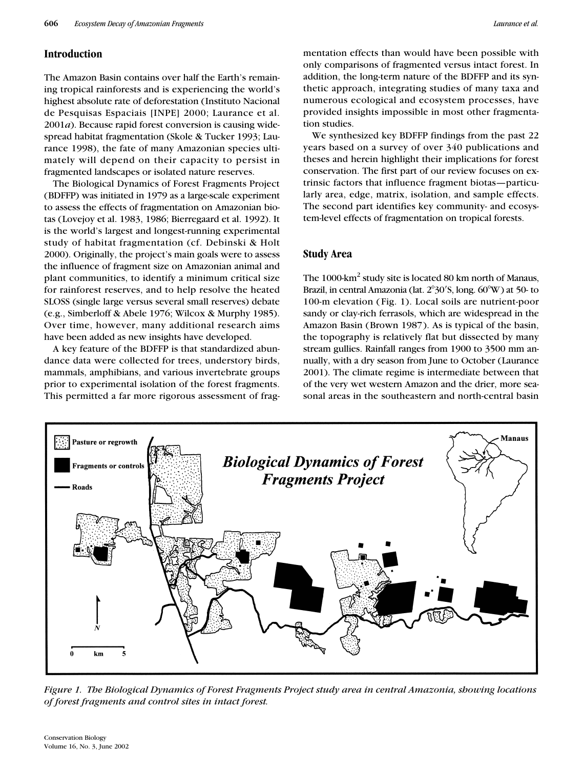# **Introduction**

The Amazon Basin contains over half the Earth's remaining tropical rainforests and is experiencing the world's highest absolute rate of deforestation (Instituto Nacional de Pesquisas Espaciais [INPE] 2000; Laurance et al. 2001*a*). Because rapid forest conversion is causing widespread habitat fragmentation (Skole & Tucker 1993; Laurance 1998), the fate of many Amazonian species ultimately will depend on their capacity to persist in fragmented landscapes or isolated nature reserves.

The Biological Dynamics of Forest Fragments Project (BDFFP) was initiated in 1979 as a large-scale experiment to assess the effects of fragmentation on Amazonian biotas (Lovejoy et al. 1983, 1986; Bierregaard et al. 1992). It is the world's largest and longest-running experimental study of habitat fragmentation (cf. Debinski & Holt 2000). Originally, the project's main goals were to assess the influence of fragment size on Amazonian animal and plant communities, to identify a minimum critical size for rainforest reserves, and to help resolve the heated SLOSS (single large versus several small reserves) debate (e.g., Simberloff & Abele 1976; Wilcox & Murphy 1985). Over time, however, many additional research aims have been added as new insights have developed.

A key feature of the BDFFP is that standardized abundance data were collected for trees, understory birds, mammals, amphibians, and various invertebrate groups prior to experimental isolation of the forest fragments. This permitted a far more rigorous assessment of fragmentation effects than would have been possible with only comparisons of fragmented versus intact forest. In addition, the long-term nature of the BDFFP and its synthetic approach, integrating studies of many taxa and numerous ecological and ecosystem processes, have provided insights impossible in most other fragmentation studies.

We synthesized key BDFFP findings from the past 22 years based on a survey of over 340 publications and theses and herein highlight their implications for forest conservation. The first part of our review focuses on extrinsic factors that influence fragment biotas—particularly area, edge, matrix, isolation, and sample effects. The second part identifies key community- and ecosystem-level effects of fragmentation on tropical forests.

# **Study Area**

The  $1000\,\mathrm{km}^2$  study site is located 80 km north of Manaus, Brazil, in central Amazonia (lat.  $2^{\circ}30'$ S, long.  $60^{\circ}$ W) at 50- to 100-m elevation (Fig. 1). Local soils are nutrient-poor sandy or clay-rich ferrasols, which are widespread in the Amazon Basin (Brown 1987). As is typical of the basin, the topography is relatively flat but dissected by many stream gullies. Rainfall ranges from 1900 to 3500 mm annually, with a dry season from June to October (Laurance 2001). The climate regime is intermediate between that of the very wet western Amazon and the drier, more seasonal areas in the southeastern and north-central basin



*Figure 1. The Biological Dynamics of Forest Fragments Project study area in central Amazonia, showing locations of forest fragments and control sites in intact forest.*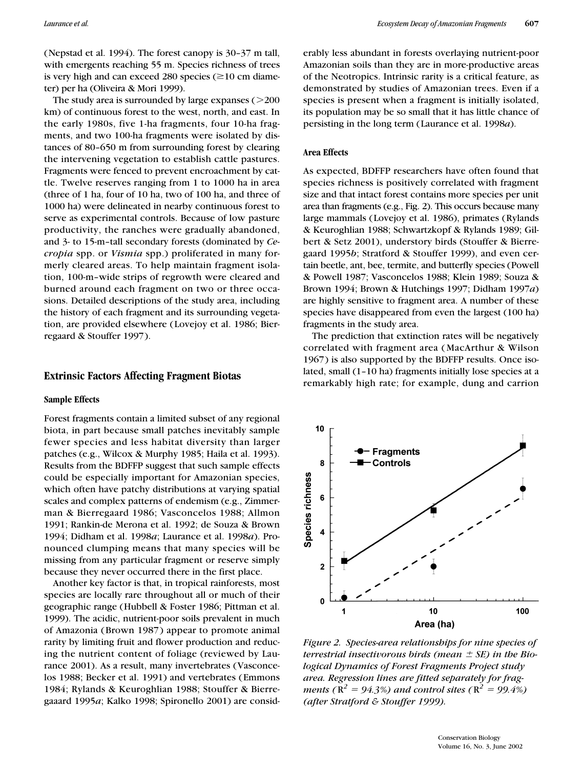(Nepstad et al. 1994). The forest canopy is 30–37 m tall, with emergents reaching 55 m. Species richness of trees is very high and can exceed 280 species  $(\geq 10 \text{ cm } \text{diameter})$ ter) per ha (Oliveira & Mori 1999).

The study area is surrounded by large expanses  $(>200$ km) of continuous forest to the west, north, and east. In the early 1980s, five 1-ha fragments, four 10-ha fragments, and two 100-ha fragments were isolated by distances of 80–650 m from surrounding forest by clearing the intervening vegetation to establish cattle pastures. Fragments were fenced to prevent encroachment by cattle. Twelve reserves ranging from 1 to 1000 ha in area (three of 1 ha, four of 10 ha, two of 100 ha, and three of 1000 ha) were delineated in nearby continuous forest to serve as experimental controls. Because of low pasture productivity, the ranches were gradually abandoned, and 3- to 15-m–tall secondary forests (dominated by *Cecropia* spp. or *Vismia* spp.) proliferated in many formerly cleared areas. To help maintain fragment isolation, 100-m–wide strips of regrowth were cleared and burned around each fragment on two or three occasions. Detailed descriptions of the study area, including the history of each fragment and its surrounding vegetation, are provided elsewhere (Lovejoy et al. 1986; Bierregaard & Stouffer 1997).

# **Extrinsic Factors Affecting Fragment Biotas**

### **Sample Effects**

Forest fragments contain a limited subset of any regional biota, in part because small patches inevitably sample fewer species and less habitat diversity than larger patches (e.g., Wilcox & Murphy 1985; Haila et al. 1993). Results from the BDFFP suggest that such sample effects could be especially important for Amazonian species, which often have patchy distributions at varying spatial scales and complex patterns of endemism (e.g., Zimmerman & Bierregaard 1986; Vasconcelos 1988; Allmon 1991; Rankin-de Merona et al. 1992; de Souza & Brown 1994; Didham et al. 1998*a*; Laurance et al. 1998*a*). Pronounced clumping means that many species will be missing from any particular fragment or reserve simply because they never occurred there in the first place.

Another key factor is that, in tropical rainforests, most species are locally rare throughout all or much of their geographic range (Hubbell & Foster 1986; Pittman et al. 1999). The acidic, nutrient-poor soils prevalent in much of Amazonia (Brown 1987) appear to promote animal rarity by limiting fruit and flower production and reducing the nutrient content of foliage (reviewed by Laurance 2001). As a result, many invertebrates (Vasconcelos 1988; Becker et al. 1991) and vertebrates (Emmons 1984; Rylands & Keuroghlian 1988; Stouffer & Bierregaaard 1995*a*; Kalko 1998; Spironello 2001) are considerably less abundant in forests overlaying nutrient-poor Amazonian soils than they are in more-productive areas of the Neotropics. Intrinsic rarity is a critical feature, as demonstrated by studies of Amazonian trees. Even if a species is present when a fragment is initially isolated, its population may be so small that it has little chance of persisting in the long term (Laurance et al. 1998*a*).

# **Area Effects**

As expected, BDFFP researchers have often found that species richness is positively correlated with fragment size and that intact forest contains more species per unit area than fragments (e.g., Fig. 2). This occurs because many large mammals (Lovejoy et al. 1986), primates (Rylands & Keuroghlian 1988; Schwartzkopf & Rylands 1989; Gilbert & Setz 2001), understory birds (Stouffer & Bierregaard 1995*b*; Stratford & Stouffer 1999), and even certain beetle, ant, bee, termite, and butterfly species (Powell & Powell 1987; Vasconcelos 1988; Klein 1989; Souza & Brown 1994; Brown & Hutchings 1997; Didham 1997*a*) are highly sensitive to fragment area. A number of these species have disappeared from even the largest (100 ha) fragments in the study area.

The prediction that extinction rates will be negatively correlated with fragment area (MacArthur & Wilson 1967) is also supported by the BDFFP results. Once isolated, small (1–10 ha) fragments initially lose species at a remarkably high rate; for example, dung and carrion



*Figure 2. Species-area relationships for nine species of terrestrial insectivorous birds (mean SE) in the Biological Dynamics of Forest Fragments Project study area. Regression lines are fitted separately for fragments* ( $R^2 = 94.3\%$ ) and control sites ( $R^2 = 99.4\%$ ) *(after Stratford & Stouffer 1999).*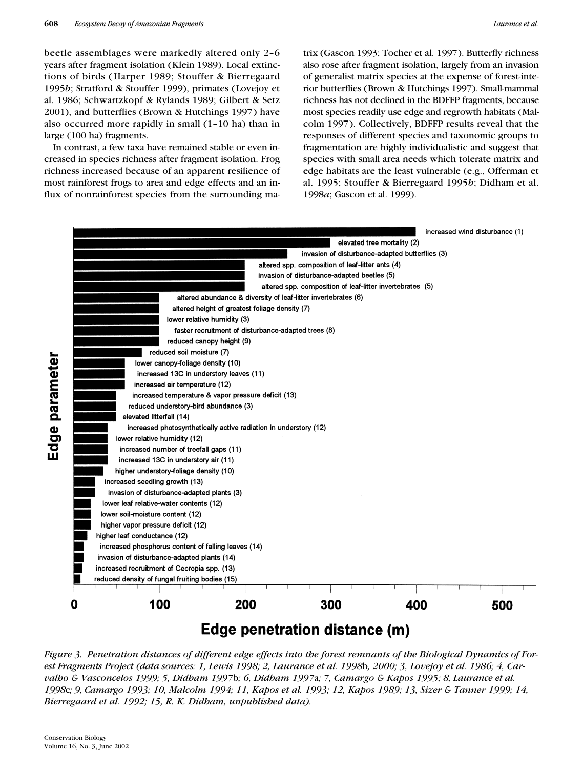beetle assemblages were markedly altered only 2–6 years after fragment isolation (Klein 1989). Local extinctions of birds (Harper 1989; Stouffer & Bierregaard 1995*b*; Stratford & Stouffer 1999), primates (Lovejoy et al. 1986; Schwartzkopf & Rylands 1989; Gilbert & Setz 2001), and butterflies (Brown & Hutchings 1997) have also occurred more rapidly in small (1–10 ha) than in large (100 ha) fragments.

In contrast, a few taxa have remained stable or even increased in species richness after fragment isolation. Frog richness increased because of an apparent resilience of most rainforest frogs to area and edge effects and an influx of nonrainforest species from the surrounding matrix (Gascon 1993; Tocher et al. 1997). Butterfly richness also rose after fragment isolation, largely from an invasion of generalist matrix species at the expense of forest-interior butterflies (Brown & Hutchings 1997). Small-mammal richness has not declined in the BDFFP fragments, because most species readily use edge and regrowth habitats (Malcolm 1997). Collectively, BDFFP results reveal that the responses of different species and taxonomic groups to fragmentation are highly individualistic and suggest that species with small area needs which tolerate matrix and edge habitats are the least vulnerable (e.g., Offerman et al. 1995; Stouffer & Bierregaard 1995*b*; Didham et al. 1998*a*; Gascon et al. 1999).



# Edge penetration distance (m)

*Figure 3. Penetration distances of different edge effects into the forest remnants of the Biological Dynamics of Forest Fragments Project (data sources: 1, Lewis 1998; 2, Laurance et al. 1998*b*, 2000; 3, Lovejoy et al. 1986; 4, Carvalho & Vasconcelos 1999; 5, Didham 1997*b*; 6, Didham 1997*a*; 7, Camargo & Kapos 1995; 8, Laurance et al. 1998*c*; 9, Camargo 1993; 10, Malcolm 1994; 11, Kapos et al. 1993; 12, Kapos 1989; 13, Sizer & Tanner 1999; 14, Bierregaard et al. 1992; 15, R. K. Didham, unpublished data).*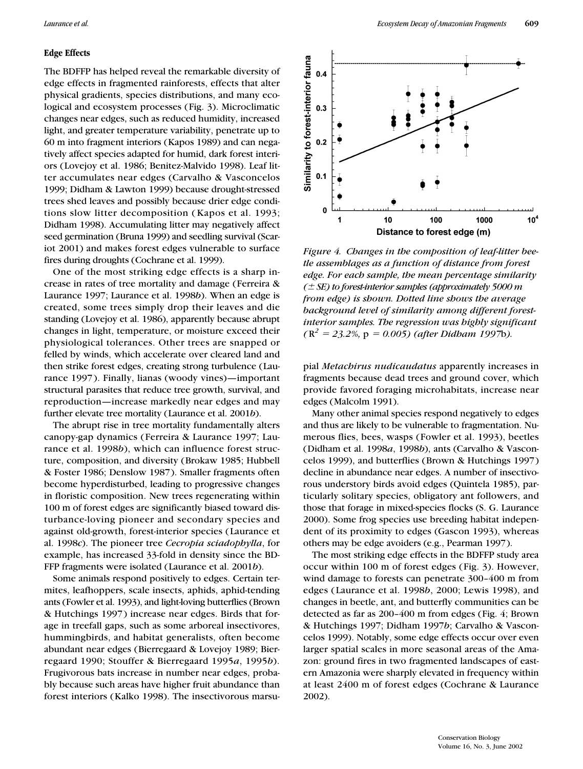# **Edge Effects**

The BDFFP has helped reveal the remarkable diversity of edge effects in fragmented rainforests, effects that alter physical gradients, species distributions, and many ecological and ecosystem processes (Fig. 3). Microclimatic changes near edges, such as reduced humidity, increased light, and greater temperature variability, penetrate up to 60 m into fragment interiors (Kapos 1989) and can negatively affect species adapted for humid, dark forest interiors (Lovejoy et al. 1986; Benitez-Malvido 1998). Leaf litter accumulates near edges (Carvalho & Vasconcelos 1999; Didham & Lawton 1999) because drought-stressed trees shed leaves and possibly because drier edge conditions slow litter decomposition (Kapos et al. 1993; Didham 1998). Accumulating litter may negatively affect seed germination (Bruna 1999) and seedling survival (Scariot 2001) and makes forest edges vulnerable to surface fires during droughts (Cochrane et al. 1999).

One of the most striking edge effects is a sharp increase in rates of tree mortality and damage (Ferreira & Laurance 1997; Laurance et al. 1998*b*). When an edge is created, some trees simply drop their leaves and die standing (Lovejoy et al. 1986), apparently because abrupt changes in light, temperature, or moisture exceed their physiological tolerances. Other trees are snapped or felled by winds, which accelerate over cleared land and then strike forest edges, creating strong turbulence (Laurance 1997). Finally, lianas (woody vines)—important structural parasites that reduce tree growth, survival, and reproduction—increase markedly near edges and may further elevate tree mortality (Laurance et al. 2001*b*).

The abrupt rise in tree mortality fundamentally alters canopy-gap dynamics (Ferreira & Laurance 1997; Laurance et al. 1998*b*), which can influence forest structure, composition, and diversity (Brokaw 1985; Hubbell & Foster 1986; Denslow 1987). Smaller fragments often become hyperdisturbed, leading to progressive changes in floristic composition. New trees regenerating within 100 m of forest edges are significantly biased toward disturbance-loving pioneer and secondary species and against old-growth, forest-interior species (Laurance et al. 1998*c*). The pioneer tree *Cecropia sciadophylla*, for example, has increased 33-fold in density since the BD-FFP fragments were isolated (Laurance et al. 2001*b*).

Some animals respond positively to edges. Certain termites, leafhoppers, scale insects, aphids, aphid-tending ants (Fowler et al. 1993), and light-loving butterflies (Brown & Hutchings 1997) increase near edges. Birds that forage in treefall gaps, such as some arboreal insectivores, hummingbirds, and habitat generalists, often become abundant near edges (Bierregaard & Lovejoy 1989; Bierregaard 1990; Stouffer & Bierregaard 1995*a*, 1995*b*). Frugivorous bats increase in number near edges, probably because such areas have higher fruit abundance than forest interiors (Kalko 1998). The insectivorous marsu-



*Figure 4. Changes in the composition of leaf-litter beetle assemblages as a function of distance from forest edge. For each sample, the mean percentage similarity ( SE) to forest-interior samples (approximately 5000 m from edge) is shown. Dotted line shows the average background level of similarity among different forestinterior samples. The regression was highly significant*   $(R^2 = 23.2\%$ ,  $p = 0.005$ ) (after Didham 1997b).

pial *Metachirus nudicaudatus* apparently increases in fragments because dead trees and ground cover, which provide favored foraging microhabitats, increase near edges (Malcolm 1991).

Many other animal species respond negatively to edges and thus are likely to be vulnerable to fragmentation. Numerous flies, bees, wasps (Fowler et al. 1993), beetles (Didham et al. 1998*a*, 1998*b*), ants (Carvalho & Vasconcelos 1999), and butterflies (Brown & Hutchings 1997) decline in abundance near edges. A number of insectivorous understory birds avoid edges (Quintela 1985), particularly solitary species, obligatory ant followers, and those that forage in mixed-species flocks (S. G. Laurance 2000). Some frog species use breeding habitat independent of its proximity to edges (Gascon 1993), whereas others may be edge avoiders (e.g., Pearman 1997).

The most striking edge effects in the BDFFP study area occur within 100 m of forest edges (Fig. 3). However, wind damage to forests can penetrate 300–400 m from edges (Laurance et al. 1998*b*, 2000; Lewis 1998), and changes in beetle, ant, and butterfly communities can be detected as far as 200–400 m from edges (Fig. 4; Brown & Hutchings 1997; Didham 1997*b*; Carvalho & Vasconcelos 1999). Notably, some edge effects occur over even larger spatial scales in more seasonal areas of the Amazon: ground fires in two fragmented landscapes of eastern Amazonia were sharply elevated in frequency within at least 2400 m of forest edges (Cochrane & Laurance 2002).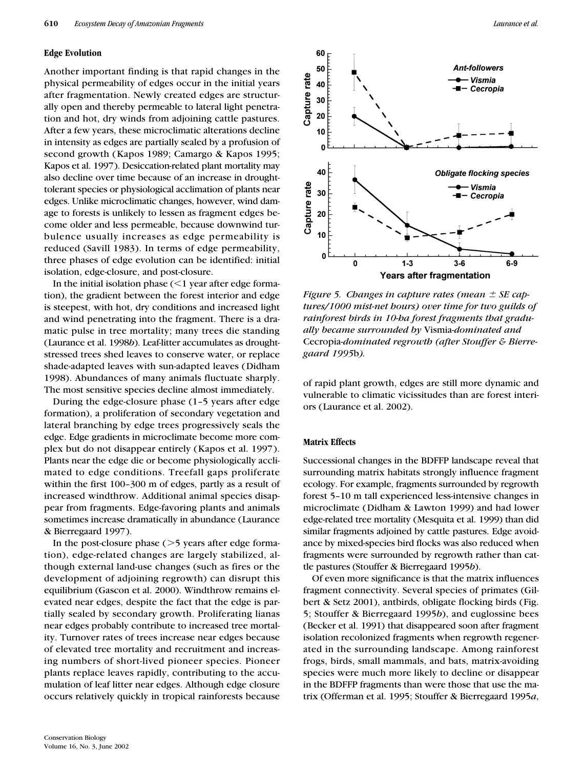#### **Edge Evolution**

Another important finding is that rapid changes in the physical permeability of edges occur in the initial years after fragmentation. Newly created edges are structurally open and thereby permeable to lateral light penetration and hot, dry winds from adjoining cattle pastures. After a few years, these microclimatic alterations decline in intensity as edges are partially sealed by a profusion of second growth (Kapos 1989; Camargo & Kapos 1995; Kapos et al. 1997). Desiccation-related plant mortality may also decline over time because of an increase in droughttolerant species or physiological acclimation of plants near edges. Unlike microclimatic changes, however, wind damage to forests is unlikely to lessen as fragment edges become older and less permeable, because downwind turbulence usually increases as edge permeability is reduced (Savill 1983). In terms of edge permeability, three phases of edge evolution can be identified: initial isolation, edge-closure, and post-closure.

In the initial isolation phase  $(<$ 1 year after edge formation), the gradient between the forest interior and edge is steepest, with hot, dry conditions and increased light and wind penetrating into the fragment. There is a dramatic pulse in tree mortality; many trees die standing (Laurance et al. 1998*b*). Leaf-litter accumulates as droughtstressed trees shed leaves to conserve water, or replace shade-adapted leaves with sun-adapted leaves (Didham 1998). Abundances of many animals fluctuate sharply. The most sensitive species decline almost immediately.

During the edge-closure phase (1–5 years after edge formation), a proliferation of secondary vegetation and lateral branching by edge trees progressively seals the edge. Edge gradients in microclimate become more complex but do not disappear entirely (Kapos et al. 1997). Plants near the edge die or become physiologically acclimated to edge conditions. Treefall gaps proliferate within the first 100–300 m of edges, partly as a result of increased windthrow. Additional animal species disappear from fragments. Edge-favoring plants and animals sometimes increase dramatically in abundance (Laurance & Bierregaard 1997).

In the post-closure phase  $(>5$  years after edge formation), edge-related changes are largely stabilized, although external land-use changes (such as fires or the development of adjoining regrowth) can disrupt this equilibrium (Gascon et al. 2000). Windthrow remains elevated near edges, despite the fact that the edge is partially sealed by secondary growth. Proliferating lianas near edges probably contribute to increased tree mortality. Turnover rates of trees increase near edges because of elevated tree mortality and recruitment and increasing numbers of short-lived pioneer species. Pioneer plants replace leaves rapidly, contributing to the accumulation of leaf litter near edges. Although edge closure occurs relatively quickly in tropical rainforests because



*Figure 5. Changes in capture rates (mean SE captures/1000 mist-net hours) over time for two guilds of rainforest birds in 10-ha forest fragments that gradually became surrounded by* Vismia*-dominated and* Cecropia*-dominated regrowth (after Stouffer & Bierregaard 1995*b*).*

of rapid plant growth, edges are still more dynamic and vulnerable to climatic vicissitudes than are forest interiors (Laurance et al. 2002).

# **Matrix Effects**

Successional changes in the BDFFP landscape reveal that surrounding matrix habitats strongly influence fragment ecology. For example, fragments surrounded by regrowth forest 5–10 m tall experienced less-intensive changes in microclimate (Didham & Lawton 1999) and had lower edge-related tree mortality (Mesquita et al. 1999) than did similar fragments adjoined by cattle pastures. Edge avoidance by mixed-species bird flocks was also reduced when fragments were surrounded by regrowth rather than cattle pastures (Stouffer & Bierregaard 1995*b*).

Of even more significance is that the matrix influences fragment connectivity. Several species of primates (Gilbert & Setz 2001), antbirds, obligate flocking birds (Fig. 5; Stouffer & Bierregaard 1995*b*), and euglossine bees (Becker et al. 1991) that disappeared soon after fragment isolation recolonized fragments when regrowth regenerated in the surrounding landscape. Among rainforest frogs, birds, small mammals, and bats, matrix-avoiding species were much more likely to decline or disappear in the BDFFP fragments than were those that use the matrix (Offerman et al. 1995; Stouffer & Bierregaard 1995*a*,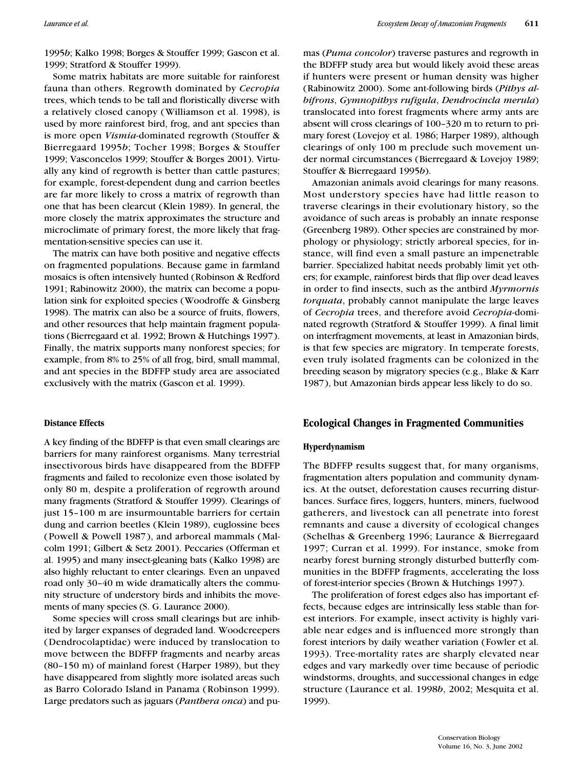1995*b*; Kalko 1998; Borges & Stouffer 1999; Gascon et al. 1999; Stratford & Stouffer 1999).

Some matrix habitats are more suitable for rainforest fauna than others. Regrowth dominated by *Cecropia* trees, which tends to be tall and floristically diverse with a relatively closed canopy (Williamson et al. 1998), is used by more rainforest bird, frog, and ant species than is more open *Vismia*-dominated regrowth (Stouffer & Bierregaard 1995*b*; Tocher 1998; Borges & Stouffer 1999; Vasconcelos 1999; Stouffer & Borges 2001). Virtually any kind of regrowth is better than cattle pastures; for example, forest-dependent dung and carrion beetles are far more likely to cross a matrix of regrowth than one that has been clearcut (Klein 1989). In general, the more closely the matrix approximates the structure and microclimate of primary forest, the more likely that fragmentation-sensitive species can use it.

The matrix can have both positive and negative effects on fragmented populations. Because game in farmland mosaics is often intensively hunted (Robinson & Redford 1991; Rabinowitz 2000), the matrix can become a population sink for exploited species (Woodroffe & Ginsberg 1998). The matrix can also be a source of fruits, flowers, and other resources that help maintain fragment populations (Bierregaard et al. 1992; Brown & Hutchings 1997). Finally, the matrix supports many nonforest species; for example, from 8% to 25% of all frog, bird, small mammal, and ant species in the BDFFP study area are associated exclusively with the matrix (Gascon et al. 1999).

# **Distance Effects**

A key finding of the BDFFP is that even small clearings are barriers for many rainforest organisms. Many terrestrial insectivorous birds have disappeared from the BDFFP fragments and failed to recolonize even those isolated by only 80 m, despite a proliferation of regrowth around many fragments (Stratford & Stouffer 1999). Clearings of just 15–100 m are insurmountable barriers for certain dung and carrion beetles (Klein 1989), euglossine bees (Powell & Powell 1987), and arboreal mammals (Malcolm 1991; Gilbert & Setz 2001). Peccaries (Offerman et al. 1995) and many insect-gleaning bats (Kalko 1998) are also highly reluctant to enter clearings. Even an unpaved road only 30–40 m wide dramatically alters the community structure of understory birds and inhibits the movements of many species (S. G. Laurance 2000).

Some species will cross small clearings but are inhibited by larger expanses of degraded land. Woodcreepers (Dendrocolaptidae) were induced by translocation to move between the BDFFP fragments and nearby areas (80–150 m) of mainland forest (Harper 1989), but they have disappeared from slightly more isolated areas such as Barro Colorado Island in Panama (Robinson 1999). Large predators such as jaguars (*Panthera onca*) and pumas (*Puma concolor*) traverse pastures and regrowth in the BDFFP study area but would likely avoid these areas if hunters were present or human density was higher (Rabinowitz 2000). Some ant-following birds (*Pithys albifrons*, *Gymnopithys rufigula*, *Dendrocincla merula*) translocated into forest fragments where army ants are absent will cross clearings of 100–320 m to return to primary forest (Lovejoy et al. 1986; Harper 1989), although clearings of only 100 m preclude such movement under normal circumstances (Bierregaard & Lovejoy 1989; Stouffer & Bierregaard 1995*b*).

Amazonian animals avoid clearings for many reasons. Most understory species have had little reason to traverse clearings in their evolutionary history, so the avoidance of such areas is probably an innate response (Greenberg 1989). Other species are constrained by morphology or physiology; strictly arboreal species, for instance, will find even a small pasture an impenetrable barrier. Specialized habitat needs probably limit yet others; for example, rainforest birds that flip over dead leaves in order to find insects, such as the antbird *Myrmornis torquata*, probably cannot manipulate the large leaves of *Cecropia* trees, and therefore avoid *Cecropia*-dominated regrowth (Stratford & Stouffer 1999). A final limit on interfragment movements, at least in Amazonian birds, is that few species are migratory. In temperate forests, even truly isolated fragments can be colonized in the breeding season by migratory species (e.g., Blake & Karr 1987), but Amazonian birds appear less likely to do so.

# **Ecological Changes in Fragmented Communities**

#### **Hyperdynamism**

The BDFFP results suggest that, for many organisms, fragmentation alters population and community dynamics. At the outset, deforestation causes recurring disturbances. Surface fires, loggers, hunters, miners, fuelwood gatherers, and livestock can all penetrate into forest remnants and cause a diversity of ecological changes (Schelhas & Greenberg 1996; Laurance & Bierregaard 1997; Curran et al. 1999). For instance, smoke from nearby forest burning strongly disturbed butterfly communities in the BDFFP fragments, accelerating the loss of forest-interior species (Brown & Hutchings 1997).

The proliferation of forest edges also has important effects, because edges are intrinsically less stable than forest interiors. For example, insect activity is highly variable near edges and is influenced more strongly than forest interiors by daily weather variation (Fowler et al. 1993). Tree-mortality rates are sharply elevated near edges and vary markedly over time because of periodic windstorms, droughts, and successional changes in edge structure (Laurance et al. 1998*b*, 2002; Mesquita et al. 1999).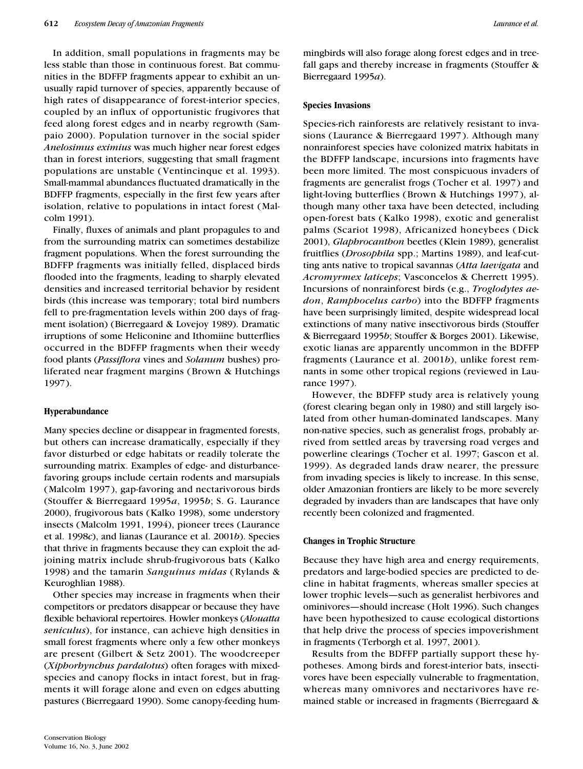In addition, small populations in fragments may be less stable than those in continuous forest. Bat communities in the BDFFP fragments appear to exhibit an unusually rapid turnover of species, apparently because of high rates of disappearance of forest-interior species, coupled by an influx of opportunistic frugivores that feed along forest edges and in nearby regrowth (Sampaio 2000). Population turnover in the social spider *Anelosimus eximius* was much higher near forest edges than in forest interiors, suggesting that small fragment populations are unstable (Ventincinque et al. 1993). Small-mammal abundances fluctuated dramatically in the BDFFP fragments, especially in the first few years after isolation, relative to populations in intact forest (Malcolm 1991).

Finally, fluxes of animals and plant propagules to and from the surrounding matrix can sometimes destabilize fragment populations. When the forest surrounding the BDFFP fragments was initially felled, displaced birds flooded into the fragments, leading to sharply elevated densities and increased territorial behavior by resident birds (this increase was temporary; total bird numbers fell to pre-fragmentation levels within 200 days of fragment isolation) (Bierregaard & Lovejoy 1989). Dramatic irruptions of some Heliconine and Ithomiine butterflies occurred in the BDFFP fragments when their weedy food plants (*Passiflora* vines and *Solanum* bushes) proliferated near fragment margins (Brown & Hutchings 1997).

#### **Hyperabundance**

Many species decline or disappear in fragmented forests, but others can increase dramatically, especially if they favor disturbed or edge habitats or readily tolerate the surrounding matrix. Examples of edge- and disturbancefavoring groups include certain rodents and marsupials (Malcolm 1997), gap-favoring and nectarivorous birds (Stouffer & Bierregaard 1995*a*, 1995*b*; S. G. Laurance 2000), frugivorous bats (Kalko 1998), some understory insects (Malcolm 1991, 1994), pioneer trees (Laurance et al. 1998*c*), and lianas (Laurance et al. 2001*b*). Species that thrive in fragments because they can exploit the adjoining matrix include shrub-frugivorous bats (Kalko 1998) and the tamarin *Sanguinus midas* (Rylands & Keuroghlian 1988).

Other species may increase in fragments when their competitors or predators disappear or because they have flexible behavioral repertoires. Howler monkeys (*Alouatta seniculus*), for instance, can achieve high densities in small forest fragments where only a few other monkeys are present (Gilbert & Setz 2001). The woodcreeper (*Xiphorhynchus pardalotus*) often forages with mixedspecies and canopy flocks in intact forest, but in fragments it will forage alone and even on edges abutting pastures (Bierregaard 1990). Some canopy-feeding hummingbirds will also forage along forest edges and in treefall gaps and thereby increase in fragments (Stouffer & Bierregaard 1995*a*).

#### **Species Invasions**

Species-rich rainforests are relatively resistant to invasions (Laurance & Bierregaard 1997). Although many nonrainforest species have colonized matrix habitats in the BDFFP landscape, incursions into fragments have been more limited. The most conspicuous invaders of fragments are generalist frogs (Tocher et al. 1997) and light-loving butterflies (Brown & Hutchings 1997), although many other taxa have been detected, including open-forest bats (Kalko 1998), exotic and generalist palms (Scariot 1998), Africanized honeybees (Dick 2001), *Glaphrocanthon* beetles (Klein 1989), generalist fruitflies (*Drosophila* spp.; Martins 1989), and leaf-cutting ants native to tropical savannas (*Atta laevigata* and *Acromyrmex laticeps*; Vasconcelos & Cherrett 1995). Incursions of nonrainforest birds (e.g., *Troglodytes aedon*, *Ramphocelus carbo*) into the BDFFP fragments have been surprisingly limited, despite widespread local extinctions of many native insectivorous birds (Stouffer & Bierregaard 1995*b*; Stouffer & Borges 2001). Likewise, exotic lianas are apparently uncommon in the BDFFP fragments (Laurance et al. 2001*b*), unlike forest remnants in some other tropical regions (reviewed in Laurance 1997).

However, the BDFFP study area is relatively young (forest clearing began only in 1980) and still largely isolated from other human-dominated landscapes. Many non-native species, such as generalist frogs, probably arrived from settled areas by traversing road verges and powerline clearings (Tocher et al. 1997; Gascon et al. 1999). As degraded lands draw nearer, the pressure from invading species is likely to increase. In this sense, older Amazonian frontiers are likely to be more severely degraded by invaders than are landscapes that have only recently been colonized and fragmented.

# **Changes in Trophic Structure**

Because they have high area and energy requirements, predators and large-bodied species are predicted to decline in habitat fragments, whereas smaller species at lower trophic levels—such as generalist herbivores and ominivores—should increase (Holt 1996). Such changes have been hypothesized to cause ecological distortions that help drive the process of species impoverishment in fragments (Terborgh et al. 1997, 2001).

Results from the BDFFP partially support these hypotheses. Among birds and forest-interior bats, insectivores have been especially vulnerable to fragmentation, whereas many omnivores and nectarivores have remained stable or increased in fragments (Bierregaard &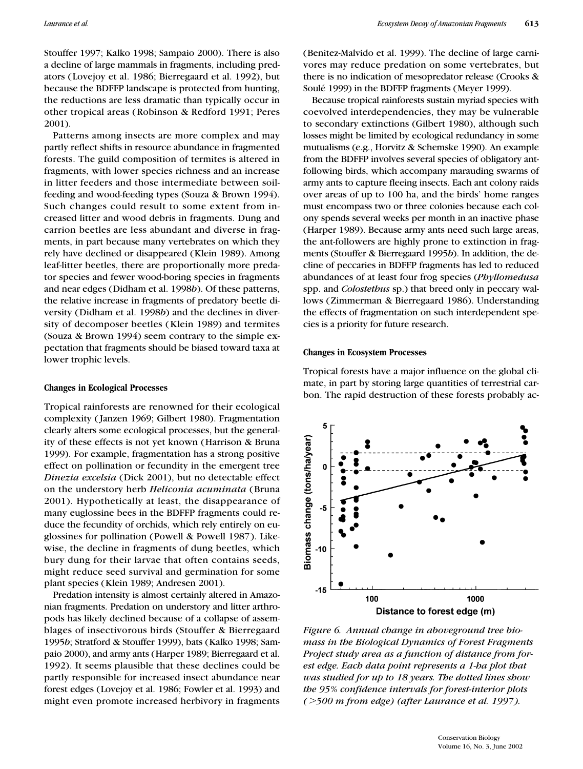Stouffer 1997; Kalko 1998; Sampaio 2000). There is also a decline of large mammals in fragments, including predators (Lovejoy et al. 1986; Bierregaard et al. 1992), but because the BDFFP landscape is protected from hunting, the reductions are less dramatic than typically occur in other tropical areas (Robinson & Redford 1991; Peres 2001).

Patterns among insects are more complex and may partly reflect shifts in resource abundance in fragmented forests. The guild composition of termites is altered in fragments, with lower species richness and an increase in litter feeders and those intermediate between soilfeeding and wood-feeding types (Souza & Brown 1994). Such changes could result to some extent from increased litter and wood debris in fragments. Dung and carrion beetles are less abundant and diverse in fragments, in part because many vertebrates on which they rely have declined or disappeared (Klein 1989). Among leaf-litter beetles, there are proportionally more predator species and fewer wood-boring species in fragments and near edges (Didham et al. 1998*b*). Of these patterns, the relative increase in fragments of predatory beetle diversity (Didham et al. 1998*b*) and the declines in diversity of decomposer beetles (Klein 1989) and termites (Souza & Brown 1994) seem contrary to the simple expectation that fragments should be biased toward taxa at lower trophic levels.

#### **Changes in Ecological Processes**

Tropical rainforests are renowned for their ecological complexity ( Janzen 1969; Gilbert 1980). Fragmentation clearly alters some ecological processes, but the generality of these effects is not yet known (Harrison & Bruna 1999). For example, fragmentation has a strong positive effect on pollination or fecundity in the emergent tree *Dinezia excelsia* (Dick 2001), but no detectable effect on the understory herb *Heliconia acuminata* (Bruna 2001). Hypothetically at least, the disappearance of many euglossine bees in the BDFFP fragments could reduce the fecundity of orchids, which rely entirely on euglossines for pollination (Powell & Powell 1987). Likewise, the decline in fragments of dung beetles, which bury dung for their larvae that often contains seeds, might reduce seed survival and germination for some plant species (Klein 1989; Andresen 2001).

Predation intensity is almost certainly altered in Amazonian fragments. Predation on understory and litter arthropods has likely declined because of a collapse of assemblages of insectivorous birds (Stouffer & Bierregaard 1995*b*; Stratford & Stouffer 1999), bats (Kalko 1998; Sampaio 2000), and army ants (Harper 1989; Bierregaard et al. 1992). It seems plausible that these declines could be partly responsible for increased insect abundance near forest edges (Lovejoy et al. 1986; Fowler et al. 1993) and might even promote increased herbivory in fragments (Benitez-Malvido et al. 1999). The decline of large carnivores may reduce predation on some vertebrates, but there is no indication of mesopredator release (Crooks & Soulé 1999) in the BDFFP fragments (Meyer 1999).

Because tropical rainforests sustain myriad species with coevolved interdependencies, they may be vulnerable to secondary extinctions (Gilbert 1980), although such losses might be limited by ecological redundancy in some mutualisms (e.g., Horvitz & Schemske 1990). An example from the BDFFP involves several species of obligatory antfollowing birds, which accompany marauding swarms of army ants to capture fleeing insects. Each ant colony raids over areas of up to 100 ha, and the birds' home ranges must encompass two or three colonies because each colony spends several weeks per month in an inactive phase (Harper 1989). Because army ants need such large areas, the ant-followers are highly prone to extinction in fragments (Stouffer & Bierregaard 1995*b*). In addition, the decline of peccaries in BDFFP fragments has led to reduced abundances of at least four frog species (*Phyllomedusa* spp. and *Colostethus* sp.) that breed only in peccary wallows (Zimmerman & Bierregaard 1986). Understanding the effects of fragmentation on such interdependent species is a priority for future research.

#### **Changes in Ecosystem Processes**

Tropical forests have a major influence on the global climate, in part by storing large quantities of terrestrial carbon. The rapid destruction of these forests probably ac-



*Figure 6. Annual change in aboveground tree biomass in the Biological Dynamics of Forest Fragments Project study area as a function of distance from forest edge. Each data point represents a 1-ha plot that was studied for up to 18 years. The dotted lines show the 95% confidence intervals for forest-interior plots (500 m from edge) (after Laurance et al. 1997).*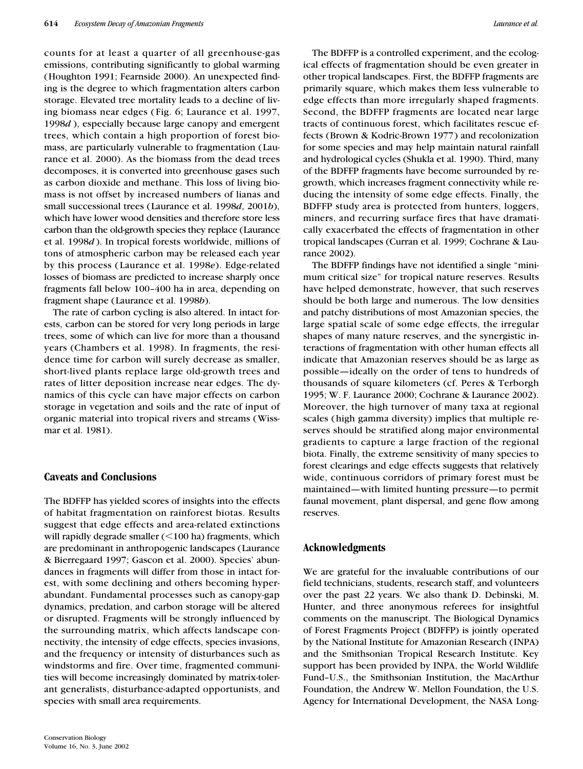counts for at least a quarter of all greenhouse-gas emissions, contributing significantly to global warming (Houghton 1991; Fearnside 2000). An unexpected finding is the degree to which fragmentation alters carbon storage. Elevated tree mortality leads to a decline of living biomass near edges (Fig. 6; Laurance et al. 1997, 1998*d* ), especially because large canopy and emergent trees, which contain a high proportion of forest biomass, are particularly vulnerable to fragmentation (Laurance et al. 2000). As the biomass from the dead trees decomposes, it is converted into greenhouse gases such as carbon dioxide and methane. This loss of living biomass is not offset by increased numbers of lianas and small successional trees (Laurance et al. 1998*d*, 2001*b*), which have lower wood densities and therefore store less carbon than the old-growth species they replace (Laurance et al. 1998*d* ). In tropical forests worldwide, millions of tons of atmospheric carbon may be released each year by this process (Laurance et al. 1998*e*). Edge-related losses of biomass are predicted to increase sharply once fragments fall below 100–400 ha in area, depending on fragment shape (Laurance et al. 1998*b*).

The rate of carbon cycling is also altered. In intact forests, carbon can be stored for very long periods in large trees, some of which can live for more than a thousand years (Chambers et al. 1998). In fragments, the residence time for carbon will surely decrease as smaller, short-lived plants replace large old-growth trees and rates of litter deposition increase near edges. The dynamics of this cycle can have major effects on carbon storage in vegetation and soils and the rate of input of organic material into tropical rivers and streams (Wissmar et al. 1981).

# **Caveats and Conclusions**

The BDFFP has yielded scores of insights into the effects of habitat fragmentation on rainforest biotas. Results suggest that edge effects and area-related extinctions will rapidly degrade smaller  $(<$  100 ha) fragments, which are predominant in anthropogenic landscapes (Laurance & Bierregaard 1997; Gascon et al. 2000). Species' abundances in fragments will differ from those in intact forest, with some declining and others becoming hyperabundant. Fundamental processes such as canopy-gap dynamics, predation, and carbon storage will be altered or disrupted. Fragments will be strongly influenced by the surrounding matrix, which affects landscape connectivity, the intensity of edge effects, species invasions, and the frequency or intensity of disturbances such as windstorms and fire. Over time, fragmented communities will become increasingly dominated by matrix-tolerant generalists, disturbance-adapted opportunists, and species with small area requirements.

The BDFFP is a controlled experiment, and the ecological effects of fragmentation should be even greater in other tropical landscapes. First, the BDFFP fragments are primarily square, which makes them less vulnerable to edge effects than more irregularly shaped fragments. Second, the BDFFP fragments are located near large tracts of continuous forest, which facilitates rescue effects (Brown & Kodric-Brown 1977) and recolonization for some species and may help maintain natural rainfall and hydrological cycles (Shukla et al. 1990). Third, many of the BDFFP fragments have become surrounded by regrowth, which increases fragment connectivity while reducing the intensity of some edge effects. Finally, the BDFFP study area is protected from hunters, loggers, miners, and recurring surface fires that have dramatically exacerbated the effects of fragmentation in other tropical landscapes (Curran et al. 1999; Cochrane & Laurance 2002).

The BDFFP findings have not identified a single "minimum critical size" for tropical nature reserves. Results have helped demonstrate, however, that such reserves should be both large and numerous. The low densities and patchy distributions of most Amazonian species, the large spatial scale of some edge effects, the irregular shapes of many nature reserves, and the synergistic interactions of fragmentation with other human effects all indicate that Amazonian reserves should be as large as possible—ideally on the order of tens to hundreds of thousands of square kilometers (cf. Peres & Terborgh 1995; W. F. Laurance 2000; Cochrane & Laurance 2002). Moreover, the high turnover of many taxa at regional scales (high gamma diversity) implies that multiple reserves should be stratified along major environmental gradients to capture a large fraction of the regional biota. Finally, the extreme sensitivity of many species to forest clearings and edge effects suggests that relatively wide, continuous corridors of primary forest must be maintained—with limited hunting pressure—to permit faunal movement, plant dispersal, and gene flow among reserves.

# **Acknowledgments**

We are grateful for the invaluable contributions of our field technicians, students, research staff, and volunteers over the past 22 years. We also thank D. Debinski, M. Hunter, and three anonymous referees for insightful comments on the manuscript. The Biological Dynamics of Forest Fragments Project (BDFFP) is jointly operated by the National Institute for Amazonian Research (INPA) and the Smithsonian Tropical Research Institute. Key support has been provided by INPA, the World Wildlife Fund–U.S., the Smithsonian Institution, the MacArthur Foundation, the Andrew W. Mellon Foundation, the U.S. Agency for International Development, the NASA Long-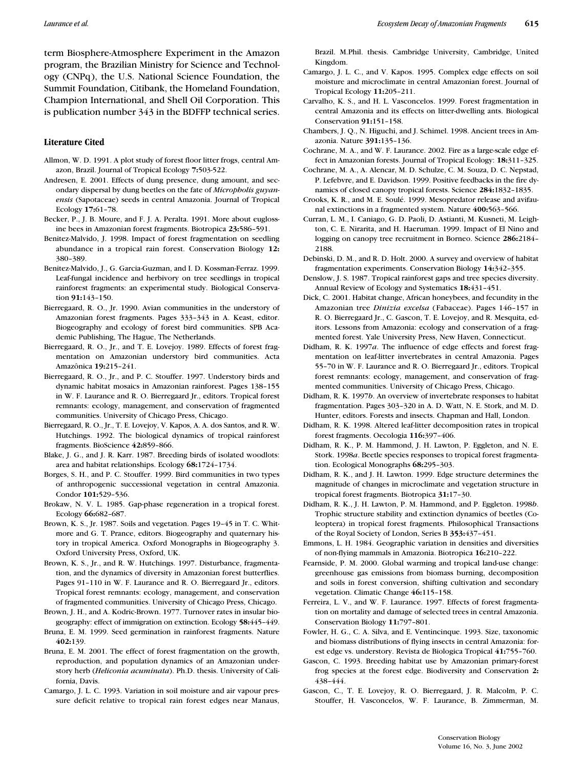term Biosphere-Atmosphere Experiment in the Amazon program, the Brazilian Ministry for Science and Technology (CNPq), the U.S. National Science Foundation, the Summit Foundation, Citibank, the Homeland Foundation, Champion International, and Shell Oil Corporation. This is publication number 343 in the BDFFP technical series.

# **Literature Cited**

- Allmon, W. D. 1991. A plot study of forest floor litter frogs, central Amazon, Brazil. Journal of Tropical Ecology **7:**503-522.
- Andresen, E. 2001. Effects of dung presence, dung amount, and secondary dispersal by dung beetles on the fate of *Micropholis guyanensis* (Sapotaceae) seeds in central Amazonia. Journal of Tropical Ecology **17:**61–78.
- Becker, P., J. B. Moure, and F. J. A. Peralta. 1991. More about euglossine bees in Amazonian forest fragments. Biotropica **23:**586–591.
- Benitez-Malvido, J. 1998. Impact of forest fragmentation on seedling abundance in a tropical rain forest. Conservation Biology **12:** 380–389.
- Benitez-Malvido, J., G. Garcia-Guzman, and I. D. Kossman-Ferraz. 1999. Leaf-fungal incidence and herbivory on tree seedlings in tropical rainforest fragments: an experimental study. Biological Conservation **91:**143–150.
- Bierregaard, R. O., Jr. 1990. Avian communities in the understory of Amazonian forest fragments. Pages 333–343 in A. Keast, editor. Biogeography and ecology of forest bird communities. SPB Academic Publishing, The Hague, The Netherlands.
- Bierregaard, R. O., Jr., and T. E. Lovejoy. 1989. Effects of forest fragmentation on Amazonian understory bird communities. Acta Amazônica **19:**215–241.
- Bierregaard, R. O., Jr., and P. C. Stouffer. 1997. Understory birds and dynamic habitat mosaics in Amazonian rainforest. Pages 138–155 in W. F. Laurance and R. O. Bierregaard Jr., editors. Tropical forest remnants: ecology, management, and conservation of fragmented communities. University of Chicago Press, Chicago.
- Bierregaard, R. O., Jr., T. E. Lovejoy, V. Kapos, A. A. dos Santos, and R. W. Hutchings. 1992. The biological dynamics of tropical rainforest fragments. BioScience **42:**859–866.
- Blake, J. G., and J. R. Karr. 1987. Breeding birds of isolated woodlots: area and habitat relationships. Ecology **68:**1724–1734.
- Borges, S. H., and P. C. Stouffer. 1999. Bird communities in two types of anthropogenic successional vegetation in central Amazonia. Condor **101:**529–536.
- Brokaw, N. V. L. 1985. Gap-phase regeneration in a tropical forest. Ecology **66:**682–687.
- Brown, K. S., Jr. 1987. Soils and vegetation. Pages 19–45 in T. C. Whitmore and G. T. Prance, editors. Biogeography and quaternary history in tropical America. Oxford Monographs in Biogeography 3. Oxford University Press, Oxford, UK.
- Brown, K. S., Jr., and R. W. Hutchings. 1997. Disturbance, fragmentation, and the dynamics of diversity in Amazonian forest butterflies. Pages 91–110 in W. F. Laurance and R. O. Bierregaard Jr., editors. Tropical forest remnants: ecology, management, and conservation of fragmented communities. University of Chicago Press, Chicago.
- Brown, J. H., and A. Kodric-Brown. 1977. Turnover rates in insular biogeography: effect of immigration on extinction. Ecology **58:**445–449.
- Bruna, E. M. 1999. Seed germination in rainforest fragments. Nature **402:**139.
- Bruna, E. M. 2001. The effect of forest fragmentation on the growth, reproduction, and population dynamics of an Amazonian understory herb (*Heliconia acuminata*). Ph.D. thesis. University of California, Davis.
- Camargo, J. L. C. 1993. Variation in soil moisture and air vapour pressure deficit relative to tropical rain forest edges near Manaus,

Brazil. M.Phil. thesis. Cambridge University, Cambridge, United Kingdom.

- Camargo, J. L. C., and V. Kapos. 1995. Complex edge effects on soil moisture and microclimate in central Amazonian forest. Journal of Tropical Ecology **11:**205–211.
- Carvalho, K. S., and H. L. Vasconcelos. 1999. Forest fragmentation in central Amazonia and its effects on litter-dwelling ants. Biological Conservation **91:**151–158.
- Chambers, J. Q., N. Higuchi, and J. Schimel. 1998. Ancient trees in Amazonia. Nature **391:**135–136.
- Cochrane, M. A., and W. F. Laurance. 2002. Fire as a large-scale edge effect in Amazonian forests. Journal of Tropical Ecology: **18:**311–325.
- Cochrane, M. A., A. Alencar, M. D. Schulze, C. M. Souza, D. C. Nepstad, P. Lefebvre, and E. Davidson. 1999. Positive feedbacks in the fire dynamics of closed canopy tropical forests. Science **284:**1832–1835.
- Crooks, K. R., and M. E. Soulé. 1999. Mesopredator release and avifaunal extinctions in a fragmented system. Nature **400:**563–566.
- Curran, L. M., I. Caniago, G. D. Paoli, D. Astianti, M. Kusneti, M. Leighton, C. E. Nirarita, and H. Haeruman. 1999. Impact of El Nino and logging on canopy tree recruitment in Borneo. Science **286:**2184– 2188.
- Debinski, D. M., and R. D. Holt. 2000. A survey and overview of habitat fragmentation experiments. Conservation Biology **14:**342–355.
- Denslow, J. S. 1987. Tropical rainforest gaps and tree species diversity. Annual Review of Ecology and Systematics **18:**431–451.
- Dick, C. 2001. Habitat change, African honeybees, and fecundity in the Amazonian tree *Dinizia excelsa* (Fabaceae). Pages 146–157 in R. O. Bierregaard Jr., C. Gascon, T. E. Lovejoy, and R. Mesquita, editors. Lessons from Amazonia: ecology and conservation of a fragmented forest. Yale University Press, New Haven, Connecticut.
- Didham, R. K. 1997*a*. The influence of edge effects and forest fragmentation on leaf-litter invertebrates in central Amazonia. Pages 55–70 in W. F. Laurance and R. O. Bierregaard Jr., editors. Tropical forest remnants: ecology, management, and conservation of fragmented communities. University of Chicago Press, Chicago.
- Didham, R. K. 1997*b*. An overview of invertebrate responses to habitat fragmentation. Pages 303–320 in A. D. Watt, N. E. Stork, and M. D. Hunter, editors. Forests and insects. Chapman and Hall, London.
- Didham, R. K. 1998. Altered leaf-litter decomposition rates in tropical forest fragments. Oecologia **116:**397–406.
- Didham, R. K., P. M. Hammond, J. H. Lawton, P. Eggleton, and N. E. Stork. 1998*a*. Beetle species responses to tropical forest fragmentation. Ecological Monographs **68:**295–303.
- Didham, R. K., and J. H. Lawton. 1999. Edge structure determines the magnitude of changes in microclimate and vegetation structure in tropical forest fragments. Biotropica **31:**17–30.
- Didham, R. K., J. H. Lawton, P. M. Hammond, and P. Eggleton. 1998*b*. Trophic structure stability and extinction dynamics of beetles (Coleoptera) in tropical forest fragments. Philosophical Transactions of the Royal Society of London, Series B **353:**437–451.
- Emmons, L. H. 1984. Geographic variation in densities and diversities of non-flying mammals in Amazonia. Biotropica **16:**210–222.
- Fearnside, P. M. 2000. Global warming and tropical land-use change: greenhouse gas emissions from biomass burning, decomposition and soils in forest conversion, shifting cultivation and secondary vegetation. Climatic Change **46:**115–158.
- Ferreira, L. V., and W. F. Laurance. 1997. Effects of forest fragmentation on mortality and damage of selected trees in central Amazonia. Conservation Biology **11:**797–801.
- Fowler, H. G., C. A. Silva, and E. Ventincinque. 1993. Size, taxonomic and biomass distributions of flying insects in central Amazonia: forest edge vs. understory. Revista de Biologica Tropical **41:**755–760.
- Gascon, C. 1993. Breeding habitat use by Amazonian primary-forest frog species at the forest edge. Biodiversity and Conservation **2:** 438–444.
- Gascon, C., T. E. Lovejoy, R. O. Bierregaard, J. R. Malcolm, P. C. Stouffer, H. Vasconcelos, W. F. Laurance, B. Zimmerman, M.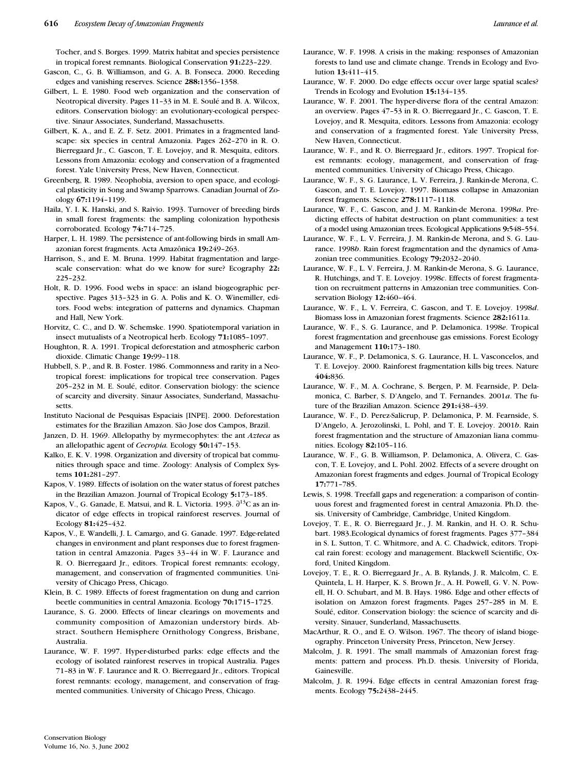Tocher, and S. Borges. 1999. Matrix habitat and species persistence in tropical forest remnants. Biological Conservation **91:**223–229.

- Gascon, C., G. B. Williamson, and G. A. B. Fonseca. 2000. Receding edges and vanishing reserves. Science **288:**1356–1358.
- Gilbert, L. E. 1980. Food web organization and the conservation of Neotropical diversity. Pages 11–33 in M. E. Soulé and B. A. Wilcox, editors. Conservation biology: an evolutionary-ecological perspective. Sinaur Associates, Sunderland, Massachusetts.
- Gilbert, K. A., and E. Z. F. Setz. 2001. Primates in a fragmented landscape: six species in central Amazonia. Pages 262–270 in R. O. Bierregaard Jr., C. Gascon, T. E. Lovejoy, and R. Mesquita, editors. Lessons from Amazonia: ecology and conservation of a fragmented forest. Yale University Press, New Haven, Connecticut.
- Greenberg, R. 1989. Neophobia, aversion to open space, and ecological plasticity in Song and Swamp Sparrows. Canadian Journal of Zoology **67:**1194–1199.
- Haila, Y. I. K. Hanski, and S. Raivio. 1993. Turnover of breeding birds in small forest fragments: the sampling colonization hypothesis corroborated. Ecology **74:**714–725.
- Harper, L. H. 1989. The persistence of ant-following birds in small Amazonian forest fragments. Acta Amazônica **19:**249–263.
- Harrison, S., and E. M. Bruna. 1999. Habitat fragmentation and largescale conservation: what do we know for sure? Ecography **22:** 225–232.
- Holt, R. D. 1996. Food webs in space: an island biogeographic perspective. Pages 313–323 in G. A. Polis and K. O. Winemiller, editors. Food webs: integration of patterns and dynamics. Chapman and Hall, New York.
- Horvitz, C. C., and D. W. Schemske. 1990. Spatiotemporal variation in insect mutualists of a Neotropical herb. Ecology **71:**1085–1097.
- Houghton, R. A. 1991. Tropical deforestation and atmospheric carbon dioxide. Climatic Change **19:**99–118.
- Hubbell, S. P., and R. B. Foster. 1986. Commonness and rarity in a Neotropical forest: implications for tropical tree conservation. Pages 205–232 in M. E. Soulé, editor. Conservation biology: the science of scarcity and diversity. Sinaur Associates, Sunderland, Massachusetts.
- Instituto Nacional de Pesquisas Espaciais [INPE]. 2000. Deforestation estimates for the Brazilian Amazon. São Jose dos Campos, Brazil.
- Janzen, D. H. 1969. Allelopathy by myrmecophytes: the ant *Azteca* as an allelopathic agent of *Cecropia.* Ecology **50:**147–153.
- Kalko, E. K. V. 1998. Organization and diversity of tropical bat communities through space and time. Zoology: Analysis of Complex Systems **101:**281–297.
- Kapos, V. 1989. Effects of isolation on the water status of forest patches in the Brazilian Amazon. Journal of Tropical Ecology **5:**173–185.
- Kapos, V., G. Ganade, E. Matsui, and R. L. Victoria. 1993.  $\partial^{13}C$  as an indicator of edge effects in tropical rainforest reserves. Journal of Ecology **81:**425–432.
- Kapos, V., E. Wandelli, J. L. Camargo, and G. Ganade. 1997. Edge-related changes in environment and plant responses due to forest fragmentation in central Amazonia. Pages 33–44 in W. F. Laurance and R. O. Bierregaard Jr., editors. Tropical forest remnants: ecology, management, and conservation of fragmented communities. University of Chicago Press, Chicago.
- Klein, B. C. 1989. Effects of forest fragmentation on dung and carrion beetle communities in central Amazonia. Ecology **70:**1715–1725.
- Laurance, S. G. 2000. Effects of linear clearings on movements and community composition of Amazonian understory birds. Abstract. Southern Hemisphere Ornithology Congress, Brisbane, Australia.
- Laurance, W. F. 1997. Hyper-disturbed parks: edge effects and the ecology of isolated rainforest reserves in tropical Australia. Pages 71–83 in W. F. Laurance and R. O. Bierregaard Jr., editors. Tropical forest remnants: ecology, management, and conservation of fragmented communities. University of Chicago Press, Chicago.
- Laurance, W. F. 1998. A crisis in the making: responses of Amazonian forests to land use and climate change. Trends in Ecology and Evolution **13:**411–415.
- Laurance, W. F. 2000. Do edge effects occur over large spatial scales? Trends in Ecology and Evolution **15:**134–135.
- Laurance, W. F. 2001. The hyper-diverse flora of the central Amazon: an overview. Pages 47–53 in R. O. Bierregaard Jr., C. Gascon, T. E. Lovejoy, and R. Mesquita, editors. Lessons from Amazonia: ecology and conservation of a fragmented forest. Yale University Press, New Haven, Connecticut.
- Laurance, W. F., and R. O. Bierregaard Jr., editors. 1997. Tropical forest remnants: ecology, management, and conservation of fragmented communities. University of Chicago Press, Chicago.
- Laurance, W. F., S. G. Laurance, L. V. Ferreira, J. Rankin-de Merona, C. Gascon, and T. E. Lovejoy. 1997. Biomass collapse in Amazonian forest fragments. Science **278:**1117–1118.
- Laurance, W. F., C. Gascon, and J. M. Rankin-de Merona. 1998*a*. Predicting effects of habitat destruction on plant communities: a test of a model using Amazonian trees. Ecological Applications **9:**548–554.
- Laurance, W. F., L. V. Ferreira, J. M. Rankin-de Merona, and S. G. Laurance. 1998*b*. Rain forest fragmentation and the dynamics of Amazonian tree communities. Ecology **79:**2032–2040.
- Laurance, W. F., L. V. Ferreira, J. M. Rankin-de Merona, S. G. Laurance, R. Hutchings, and T. E. Lovejoy. 1998*c*. Effects of forest fragmentation on recruitment patterns in Amazonian tree communities. Conservation Biology **12:**460–464.
- Laurance, W. F., L. V. Ferreira, C. Gascon, and T. E. Lovejoy. 1998*d*. Biomass loss in Amazonian forest fragments. Science **282:**1611a.
- Laurance, W. F., S. G. Laurance, and P. Delamonica. 1998*e*. Tropical forest fragmentation and greenhouse gas emissions. Forest Ecology and Management **110:**173–180.
- Laurance, W. F., P. Delamonica, S. G. Laurance, H. L. Vasconcelos, and T. E. Lovejoy. 2000. Rainforest fragmentation kills big trees. Nature **404:**836.
- Laurance, W. F., M. A. Cochrane, S. Bergen, P. M. Fearnside, P. Delamonica, C. Barber, S. D'Angelo, and T. Fernandes. 2001*a*. The future of the Brazilian Amazon. Science **291:**438–439.
- Laurance, W. F., D. Perez-Salicrup, P. Delamonica, P. M. Fearnside, S. D'Angelo, A. Jerozolinski, L. Pohl, and T. E. Lovejoy. 2001*b*. Rain forest fragmentation and the structure of Amazonian liana communities. Ecology **82:**105–116.
- Laurance, W. F., G. B. Williamson, P. Delamonica, A. Olivera, C. Gascon, T. E. Lovejoy, and L. Pohl. 2002. Effects of a severe drought on Amazonian forest fragments and edges. Journal of Tropical Ecology **17:**771–785.
- Lewis, S. 1998. Treefall gaps and regeneration: a comparison of continuous forest and fragmented forest in central Amazonia. Ph.D. thesis. University of Cambridge, Cambridge, United Kingdom.
- Lovejoy, T. E., R. O. Bierregaard Jr., J. M. Rankin, and H. O. R. Schubart. 1983.Ecological dynamics of forest fragments. Pages 377–384 in S. L. Sutton, T. C. Whitmore, and A. C. Chadwick, editors. Tropical rain forest: ecology and management. Blackwell Scientific, Oxford, United Kingdom.
- Lovejoy, T. E., R. O. Bierregaard Jr., A. B. Rylands, J. R. Malcolm, C. E. Quintela, L. H. Harper, K. S. Brown Jr., A. H. Powell, G. V. N. Powell, H. O. Schubart, and M. B. Hays. 1986. Edge and other effects of isolation on Amazon forest fragments. Pages 257–285 in M. E. Soulé, editor. Conservation biology: the science of scarcity and diversity. Sinauer, Sunderland, Massachusetts.
- MacArthur, R. O., and E. O. Wilson. 1967. The theory of island biogeography. Princeton University Press, Princeton, New Jersey.
- Malcolm, J. R. 1991. The small mammals of Amazonian forest fragments: pattern and process. Ph.D. thesis. University of Florida, Gainesville.
- Malcolm, J. R. 1994. Edge effects in central Amazonian forest fragments. Ecology **75:**2438–2445.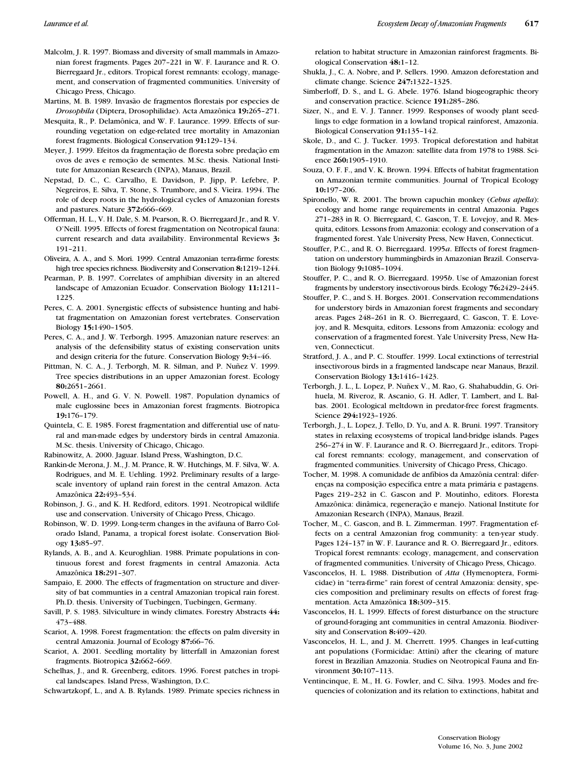- Malcolm, J. R. 1997. Biomass and diversity of small mammals in Amazonian forest fragments. Pages 207–221 in W. F. Laurance and R. O. Bierregaard Jr., editors. Tropical forest remnants: ecology, management, and conservation of fragmented communities. University of Chicago Press, Chicago.
- Martins, M. B. 1989. Invasão de fragmentos florestais por especies de *Drosophila* (Diptera, Drosophilidae). Acta Amazônica **19:**265–271.
- Mesquita, R., P. Delamônica, and W. F. Laurance. 1999. Effects of surrounding vegetation on edge-related tree mortality in Amazonian forest fragments. Biological Conservation **91:**129–134.
- Meyer, J. 1999. Efeitos da fragmentação de floresta sobre predação em ovos de aves e remoção de sementes. M.Sc. thesis. National Institute for Amazonian Research (INPA), Manaus, Brazil.
- Nepstad, D. C., C. Carvalho, E. Davidson, P. Jipp, P. Lefebre, P. Negreiros, E. Silva, T. Stone, S. Trumbore, and S. Vieira. 1994. The role of deep roots in the hydrological cycles of Amazonian forests and pastures. Nature **372:**666–669.
- Offerman, H. L., V. H. Dale, S. M. Pearson, R. O. Bierregaard Jr., and R. V. O'Neill. 1995. Effects of forest fragmentation on Neotropical fauna: current research and data availability. Environmental Reviews **3:** 191–211.
- Oliveira, A. A., and S. Mori. 1999. Central Amazonian terra-firme forests: high tree species richness. Biodiversity and Conservation **8:**1219–1244.
- Pearman, P. B. 1997. Correlates of amphibian diversity in an altered landscape of Amazonian Ecuador. Conservation Biology **11:**1211– 1225.
- Peres, C. A. 2001. Synergistic effects of subsistence hunting and habitat fragmentation on Amazonian forest vertebrates. Conservation Biology **15:**1490–1505.
- Peres, C. A., and J. W. Terborgh. 1995. Amazonian nature reserves: an analysis of the defensibility status of existing conservation units and design criteria for the future. Conservation Biology **9:**34–46.
- Pittman, N. C. A., J. Terborgh, M. R. Silman, and P. Nuñez V. 1999. Tree species distributions in an upper Amazonian forest. Ecology **80:**2651–2661.
- Powell, A. H., and G. V. N. Powell. 1987. Population dynamics of male euglossine bees in Amazonian forest fragments. Biotropica **19:**176–179.
- Quintela, C. E. 1985. Forest fragmentation and differential use of natural and man-made edges by understory birds in central Amazonia. M.Sc. thesis. University of Chicago, Chicago.
- Rabinowitz, A. 2000. Jaguar. Island Press, Washington, D.C.
- Rankin-de Merona, J. M., J. M. Prance, R. W. Hutchings, M. F. Silva, W. A. Rodrigues, and M. E. Uehling. 1992. Preliminary results of a largescale inventory of upland rain forest in the central Amazon. Acta Amazônica **22:**493–534.
- Robinson, J. G., and K. H. Redford, editors. 1991. Neotropical wildlife use and conservation. University of Chicago Press, Chicago.
- Robinson, W. D. 1999. Long-term changes in the avifauna of Barro Colorado Island, Panama, a tropical forest isolate. Conservation Biology **13:**85–97.
- Rylands, A. B., and A. Keuroghlian. 1988. Primate populations in continuous forest and forest fragments in central Amazonia. Acta Amazônica **18:**291–307.
- Sampaio, E. 2000. The effects of fragmentation on structure and diversity of bat communties in a central Amazonian tropical rain forest. Ph.D. thesis. University of Tuebingen, Tuebingen, Germany.
- Savill, P. S. 1983. Silviculture in windy climates. Forestry Abstracts **44:** 473–488.
- Scariot, A. 1998. Forest fragmentation: the effects on palm diversity in central Amazonia. Journal of Ecology **87:**66–76.
- Scariot, A. 2001. Seedling mortality by litterfall in Amazonian forest fragments. Biotropica **32:**662–669.
- Schelhas, J., and R. Greenberg, editors. 1996. Forest patches in tropical landscapes. Island Press, Washington, D.C.

Schwartzkopf, L., and A. B. Rylands. 1989. Primate species richness in

relation to habitat structure in Amazonian rainforest fragments. Biological Conservation **48:**1–12.

- Shukla, J., C. A. Nobre, and P. Sellers. 1990. Amazon deforestation and climate change. Science **247:**1322–1325.
- Simberloff, D. S., and L. G. Abele. 1976. Island biogeographic theory and conservation practice. Science **191:**285–286.
- Sizer, N., and E. V. J. Tanner. 1999. Responses of woody plant seedlings to edge formation in a lowland tropical rainforest, Amazonia. Biological Conservation **91:**135–142.
- Skole, D., and C. J. Tucker. 1993. Tropical deforestation and habitat fragmentation in the Amazon: satellite data from 1978 to 1988. Science **260:**1905–1910.
- Souza, O. F. F., and V. K. Brown. 1994. Effects of habitat fragmentation on Amazonian termite communities. Journal of Tropical Ecology **10:**197–206.
- Spironello, W. R. 2001. The brown capuchin monkey (*Cebus apella*): ecology and home range requirements in central Amazonia. Pages 271–283 in R. O. Bierregaard, C. Gascon, T. E. Lovejoy, and R. Mesquita, editors. Lessons from Amazonia: ecology and conservation of a fragmented forest. Yale University Press, New Haven, Connecticut.
- Stouffer, P.C., and R. O. Bierregaard. 1995*a*. Effects of forest fragmentation on understory hummingbirds in Amazonian Brazil. Conservation Biology **9:**1085–1094.
- Stouffer, P. C., and R. O. Bierregaard. 1995*b*. Use of Amazonian forest fragments by understory insectivorous birds. Ecology **76:**2429–2445.
- Stouffer, P. C., and S. H. Borges. 2001. Conservation recommendations for understory birds in Amazonian forest fragments and secondary areas. Pages 248–261 in R. O. Bierregaard, C. Gascon, T. E. Lovejoy, and R. Mesquita, editors. Lessons from Amazonia: ecology and conservation of a fragmented forest. Yale University Press, New Haven, Connecticut.
- Stratford, J. A., and P. C. Stouffer. 1999. Local extinctions of terrestrial insectivorous birds in a fragmented landscape near Manaus, Brazil. Conservation Biology **13:**1416–1423.
- Terborgh, J. L., L. Lopez, P. Nuñex V., M. Rao, G. Shahabuddin, G. Orihuela, M. Riveroz, R. Ascanio, G. H. Adler, T. Lambert, and L. Balbas. 2001. Ecological meltdown in predator-free forest fragments. Science **294:**1923–1926.
- Terborgh, J., L. Lopez, J. Tello, D. Yu, and A. R. Bruni. 1997. Transitory states in relaxing ecosystems of tropical land-bridge islands. Pages 256–274 in W. F. Laurance and R. O. Bierregaard Jr., editors. Tropical forest remnants: ecology, management, and conservation of fragmented communities. University of Chicago Press, Chicago.
- Tocher, M. 1998. A comunidade de anfíbios da Amazônia central: diferenças na composição específica entre a mata primária e pastagens. Pages 219–232 in C. Gascon and P. Moutinho, editors. Floresta Amazônica: dinâmica, regeneração e manejo. National Institute for Amazonian Research (INPA), Manaus, Brazil.
- Tocher, M., C. Gascon, and B. L. Zimmerman. 1997. Fragmentation effects on a central Amazonian frog community: a ten-year study. Pages 124–137 in W. F. Laurance and R. O. Bierregaard Jr., editors. Tropical forest remnants: ecology, management, and conservation of fragmented communities. University of Chicago Press, Chicago.
- Vasconcelos, H. L. 1988. Distribution of *Atta* (Hymenoptera, Formicidae) in "terra-firme" rain forest of central Amazonia: density, species composition and preliminary results on effects of forest fragmentation. Acta Amazônica **18:**309–315.
- Vasconcelos, H. L. 1999. Effects of forest disturbance on the structure of ground-foraging ant communities in central Amazonia. Biodiversity and Conservation **8:**409–420.
- Vasconcelos, H. L., and J. M. Cherrett. 1995. Changes in leaf-cutting ant populations (Formicidae: Attini) after the clearing of mature forest in Brazilian Amazonia. Studies on Neotropical Fauna and Environment **30:**107–113.
- Ventincinque, E. M., H. G. Fowler, and C. Silva. 1993. Modes and frequencies of colonization and its relation to extinctions, habitat and